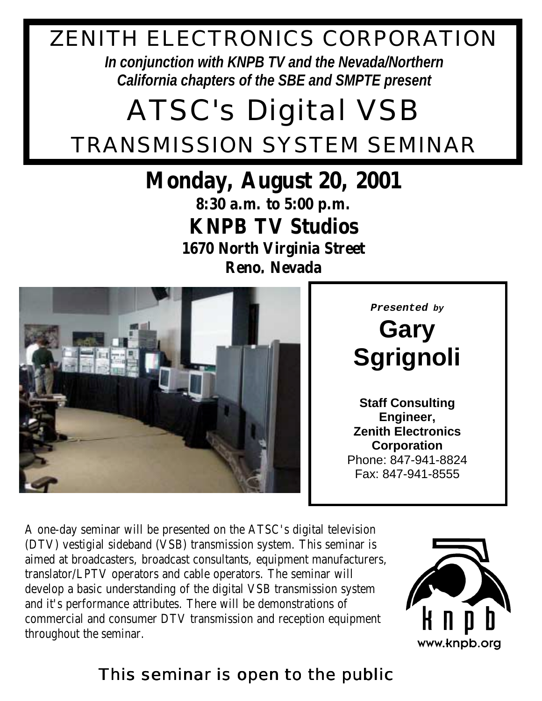## ZENITH ELECTRONICS CORPORATION

*In conjunction with KNPB TV and the Nevada/Northern California chapters of the SBE and SMPTE present*

## ATSC's *Digital* VSB TRANSMISSION SYSTEM SEMINAR

## **Monday, August 20, 2001**

**8:30 a.m. to 5:00 p.m. KNPB TV Studios**

**1670 North Virginia Street Reno, Nevada**



**Presented by**

**Gary Sgrignoli**

**Staff Consulting Engineer, Zenith Electronics Corporation** Phone: 847-941-8824 Fax: 847-941-8555

A one-day seminar will be presented on the ATSC's digital television (DTV) vestigial sideband (VSB) transmission system. This seminar is aimed at broadcasters, broadcast consultants, equipment manufacturers, translator/LPTV operators and cable operators. The seminar will develop a basic understanding of the digital VSB transmission system and it's performance attributes. There will be demonstrations of commercial and consumer DTV transmission and reception equipment throughout the seminar.



www.knpb.org

## This seminar is open to the public